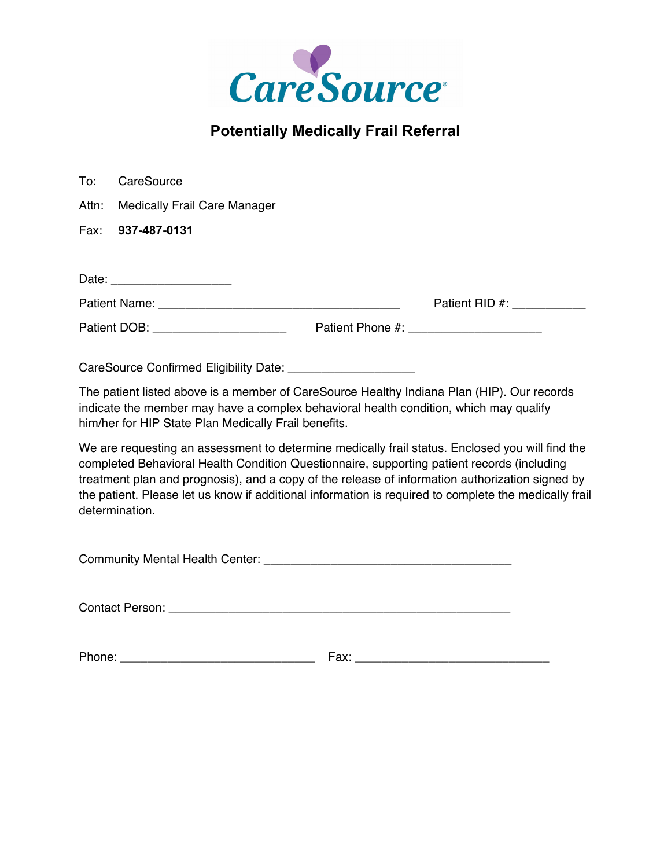

# **Potentially Medically Frail Referral**

| To:   | CareSource                                           |                                                                                                                                                                                                                                                                                                                                                                                                           |  |
|-------|------------------------------------------------------|-----------------------------------------------------------------------------------------------------------------------------------------------------------------------------------------------------------------------------------------------------------------------------------------------------------------------------------------------------------------------------------------------------------|--|
| Attn: | <b>Medically Frail Care Manager</b>                  |                                                                                                                                                                                                                                                                                                                                                                                                           |  |
| Fax:  | 937-487-0131                                         |                                                                                                                                                                                                                                                                                                                                                                                                           |  |
|       |                                                      |                                                                                                                                                                                                                                                                                                                                                                                                           |  |
|       | Date: ________________________                       | Patient RID #: 2000                                                                                                                                                                                                                                                                                                                                                                                       |  |
|       | Patient DOB: _______________________                 |                                                                                                                                                                                                                                                                                                                                                                                                           |  |
|       |                                                      |                                                                                                                                                                                                                                                                                                                                                                                                           |  |
|       | him/her for HIP State Plan Medically Frail benefits. | The patient listed above is a member of CareSource Healthy Indiana Plan (HIP). Our records<br>indicate the member may have a complex behavioral health condition, which may qualify                                                                                                                                                                                                                       |  |
|       | determination.                                       | We are requesting an assessment to determine medically frail status. Enclosed you will find the<br>completed Behavioral Health Condition Questionnaire, supporting patient records (including<br>treatment plan and prognosis), and a copy of the release of information authorization signed by<br>the patient. Please let us know if additional information is required to complete the medically frail |  |

| <b>Community Mental Health Center:</b> |  |
|----------------------------------------|--|
|----------------------------------------|--|

Contact Person: \_\_\_\_\_\_\_\_\_\_\_\_\_\_\_\_\_\_\_\_\_\_\_\_\_\_\_\_\_\_\_\_\_\_\_\_\_\_\_\_\_\_\_\_\_\_\_\_\_\_\_

Phone: \_\_\_\_\_\_\_\_\_\_\_\_\_\_\_\_\_\_\_\_\_\_\_\_\_\_\_\_\_ Fax: \_\_\_\_\_\_\_\_\_\_\_\_\_\_\_\_\_\_\_\_\_\_\_\_\_\_\_\_\_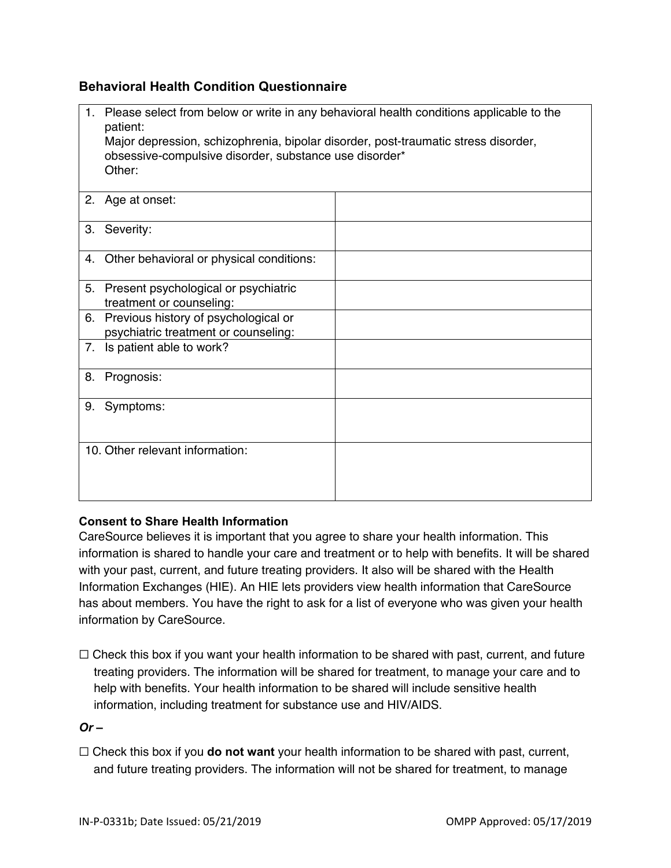## **Behavioral Health Condition Questionnaire**

| 1. | Please select from below or write in any behavioral health conditions applicable to the<br>patient:<br>Major depression, schizophrenia, bipolar disorder, post-traumatic stress disorder,<br>obsessive-compulsive disorder, substance use disorder*<br>Other: |  |  |
|----|---------------------------------------------------------------------------------------------------------------------------------------------------------------------------------------------------------------------------------------------------------------|--|--|
|    | 2. Age at onset:                                                                                                                                                                                                                                              |  |  |
| 3. | Severity:                                                                                                                                                                                                                                                     |  |  |
| 4. | Other behavioral or physical conditions:                                                                                                                                                                                                                      |  |  |
| 5. | Present psychological or psychiatric<br>treatment or counseling:                                                                                                                                                                                              |  |  |
| 6. | Previous history of psychological or<br>psychiatric treatment or counseling:                                                                                                                                                                                  |  |  |
| 7. | Is patient able to work?                                                                                                                                                                                                                                      |  |  |
| 8. | Prognosis:                                                                                                                                                                                                                                                    |  |  |
| 9. | Symptoms:                                                                                                                                                                                                                                                     |  |  |
|    | 10. Other relevant information:                                                                                                                                                                                                                               |  |  |

## **Consent to Share Health Information**

CareSource believes it is important that you agree to share your health information. This information is shared to handle your care and treatment or to help with benefits. It will be shared with your past, current, and future treating providers. It also will be shared with the Health Information Exchanges (HIE). An HIE lets providers view health information that CareSource has about members. You have the right to ask for a list of everyone who was given your health information by CareSource.

 $\Box$  Check this box if you want your health information to be shared with past, current, and future treating providers. The information will be shared for treatment, to manage your care and to help with benefits. Your health information to be shared will include sensitive health information, including treatment for substance use and HIV/AIDS.

#### $Or -$

☐ Check this box if you **do not want** your health information to be shared with past, current, and future treating providers. The information will not be shared for treatment, to manage